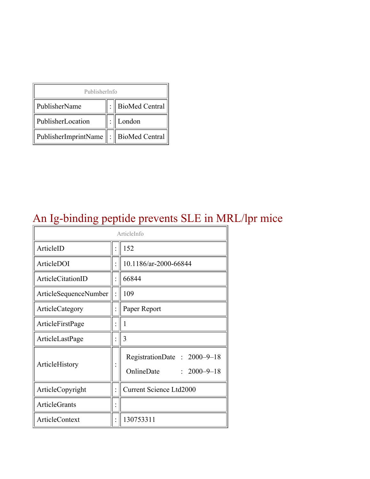| PublisherInfo                         |  |                    |  |  |
|---------------------------------------|--|--------------------|--|--|
| PublisherName                         |  | :   BioMed Central |  |  |
| PublisherLocation                     |  | London             |  |  |
| PublisherImprintName : BioMed Central |  |                    |  |  |

## An Ig-binding peptide prevents SLE in MRL/lpr mice

| ArticleInfo           |  |                                                      |  |
|-----------------------|--|------------------------------------------------------|--|
| ArticleID             |  | 152                                                  |  |
| ArticleDOI            |  | 10.1186/ar-2000-66844                                |  |
| ArticleCitationID     |  | 66844                                                |  |
| ArticleSequenceNumber |  | 109                                                  |  |
| ArticleCategory       |  | Paper Report                                         |  |
| ArticleFirstPage      |  | 1                                                    |  |
| ArticleLastPage       |  | 3                                                    |  |
| ArticleHistory        |  | RegistrationDate: 2000-9-18<br>OnlineDate: 2000-9-18 |  |
| ArticleCopyright      |  | <b>Current Science Ltd2000</b>                       |  |
| <b>ArticleGrants</b>  |  |                                                      |  |
| <b>ArticleContext</b> |  | 130753311                                            |  |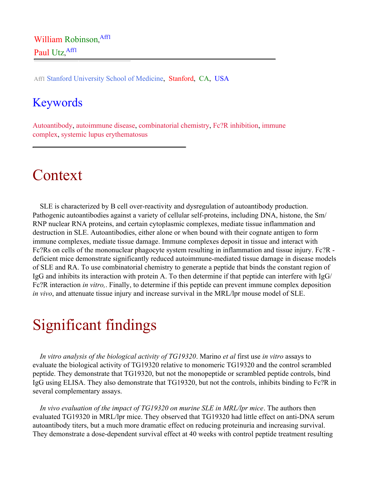Aff1 Stanford University School of Medicine, Stanford, CA, USA

### Keywords

Autoantibody, autoimmune disease, combinatorial chemistry, Fc?R inhibition, immune complex, systemic lupus erythematosus

## Context

SLE is characterized by B cell over-reactivity and dysregulation of autoantibody production. Pathogenic autoantibodies against a variety of cellular self-proteins, including DNA, histone, the Sm/ RNP nuclear RNA proteins, and certain cytoplasmic complexes, mediate tissue inflammation and destruction in SLE. Autoantibodies, either alone or when bound with their cognate antigen to form immune complexes, mediate tissue damage. Immune complexes deposit in tissue and interact with Fc?Rs on cells of the mononuclear phagocyte system resulting in inflammation and tissue injury. Fc?R deficient mice demonstrate significantly reduced autoimmune-mediated tissue damage in disease models of SLE and RA. To use combinatorial chemistry to generate a peptide that binds the constant region of IgG and inhibits its interaction with protein A. To then determine if that peptide can interfere with IgG/ Fc?R interaction *in vitro,*. Finally, to determine if this peptide can prevent immune complex deposition *in vivo*, and attenuate tissue injury and increase survival in the MRL/lpr mouse model of SLE.

# Significant findings

*In vitro analysis of the biological activity of TG19320*. Marino *et al* first use *in vitro* assays to evaluate the biological activity of TG19320 relative to monomeric TG19320 and the control scrambled peptide. They demonstrate that TG19320, but not the monopeptide or scrambled peptide controls, bind IgG using ELISA. They also demonstrate that TG19320, but not the controls, inhibits binding to Fc?R in several complementary assays.

*In vivo evaluation of the impact of TG19320 on murine SLE in MRL/lpr mice*. The authors then evaluated TG19320 in MRL/lpr mice. They observed that TG19320 had little effect on anti-DNA serum autoantibody titers, but a much more dramatic effect on reducing proteinuria and increasing survival. They demonstrate a dose-dependent survival effect at 40 weeks with control peptide treatment resulting